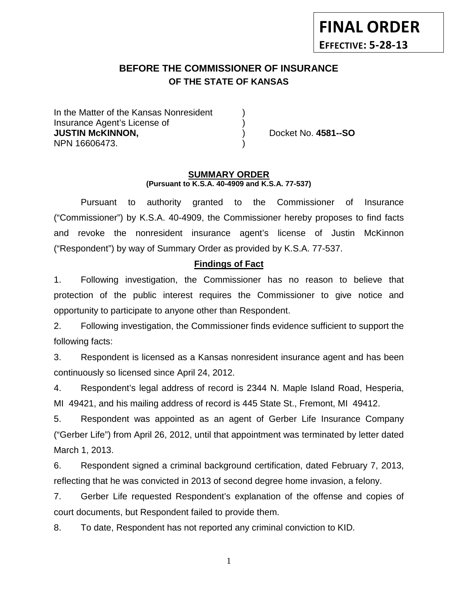# **BEFORE THE COMMISSIONER OF INSURANCE OF THE STATE OF KANSAS**

In the Matter of the Kansas Nonresident Insurance Agent's License of ) **JUSTIN McKINNON,** ) Docket No. **4581--SO** NPN 16606473. )

#### **SUMMARY ORDER (Pursuant to K.S.A. 40-4909 and K.S.A. 77-537)**

Pursuant to authority granted to the Commissioner of Insurance ("Commissioner") by K.S.A. 40-4909, the Commissioner hereby proposes to find facts and revoke the nonresident insurance agent's license of Justin McKinnon ("Respondent") by way of Summary Order as provided by K.S.A. 77-537.

# **Findings of Fact**

1. Following investigation, the Commissioner has no reason to believe that protection of the public interest requires the Commissioner to give notice and opportunity to participate to anyone other than Respondent.

2. Following investigation, the Commissioner finds evidence sufficient to support the following facts:

3. Respondent is licensed as a Kansas nonresident insurance agent and has been continuously so licensed since April 24, 2012.

4. Respondent's legal address of record is 2344 N. Maple Island Road, Hesperia, MI 49421, and his mailing address of record is 445 State St., Fremont, MI 49412.

5. Respondent was appointed as an agent of Gerber Life Insurance Company ("Gerber Life") from April 26, 2012, until that appointment was terminated by letter dated March 1, 2013.

6. Respondent signed a criminal background certification, dated February 7, 2013, reflecting that he was convicted in 2013 of second degree home invasion, a felony.

7. Gerber Life requested Respondent's explanation of the offense and copies of court documents, but Respondent failed to provide them.

8. To date, Respondent has not reported any criminal conviction to KID.

1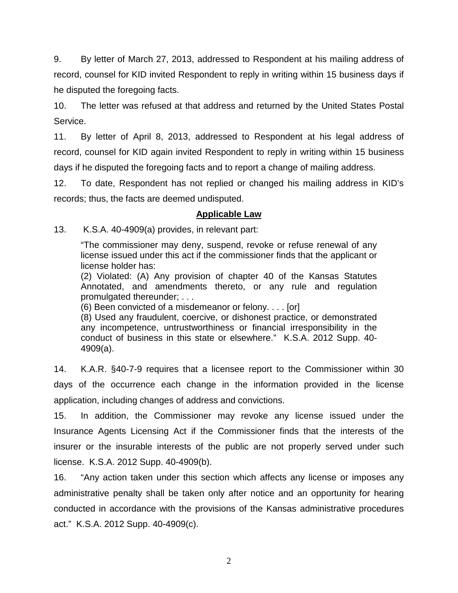9. By letter of March 27, 2013, addressed to Respondent at his mailing address of record, counsel for KID invited Respondent to reply in writing within 15 business days if he disputed the foregoing facts.

10. The letter was refused at that address and returned by the United States Postal Service.

11. By letter of April 8, 2013, addressed to Respondent at his legal address of record, counsel for KID again invited Respondent to reply in writing within 15 business days if he disputed the foregoing facts and to report a change of mailing address.

12. To date, Respondent has not replied or changed his mailing address in KID's records; thus, the facts are deemed undisputed.

# **Applicable Law**

13. K.S.A. 40-4909(a) provides, in relevant part:

"The commissioner may deny, suspend, revoke or refuse renewal of any license issued under this act if the commissioner finds that the applicant or license holder has:

(2) Violated: (A) Any provision of chapter 40 of the Kansas Statutes Annotated, and amendments thereto, or any rule and regulation promulgated thereunder; . . .

(6) Been convicted of a misdemeanor or felony. . . . [or]

(8) Used any fraudulent, coercive, or dishonest practice, or demonstrated any incompetence, untrustworthiness or financial irresponsibility in the conduct of business in this state or elsewhere." K.S.A. 2012 Supp. 40- 4909(a).

14. K.A.R. §40-7-9 requires that a licensee report to the Commissioner within 30 days of the occurrence each change in the information provided in the license application, including changes of address and convictions.

15. In addition, the Commissioner may revoke any license issued under the Insurance Agents Licensing Act if the Commissioner finds that the interests of the insurer or the insurable interests of the public are not properly served under such license. K.S.A. 2012 Supp. 40-4909(b).

16. "Any action taken under this section which affects any license or imposes any administrative penalty shall be taken only after notice and an opportunity for hearing conducted in accordance with the provisions of the Kansas administrative procedures act." K.S.A. 2012 Supp. 40-4909(c).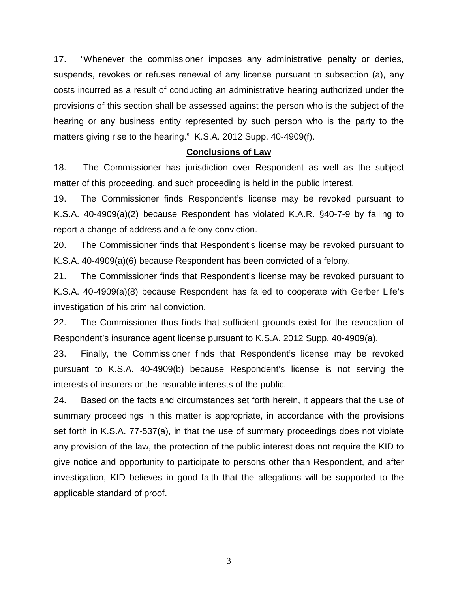17. "Whenever the commissioner imposes any administrative penalty or denies, suspends, revokes or refuses renewal of any license pursuant to subsection (a), any costs incurred as a result of conducting an administrative hearing authorized under the provisions of this section shall be assessed against the person who is the subject of the hearing or any business entity represented by such person who is the party to the matters giving rise to the hearing." K.S.A. 2012 Supp. 40-4909(f).

#### **Conclusions of Law**

18. The Commissioner has jurisdiction over Respondent as well as the subject matter of this proceeding, and such proceeding is held in the public interest.

19. The Commissioner finds Respondent's license may be revoked pursuant to K.S.A. 40-4909(a)(2) because Respondent has violated K.A.R. §40-7-9 by failing to report a change of address and a felony conviction.

20. The Commissioner finds that Respondent's license may be revoked pursuant to K.S.A. 40-4909(a)(6) because Respondent has been convicted of a felony.

21. The Commissioner finds that Respondent's license may be revoked pursuant to K.S.A. 40-4909(a)(8) because Respondent has failed to cooperate with Gerber Life's investigation of his criminal conviction.

22. The Commissioner thus finds that sufficient grounds exist for the revocation of Respondent's insurance agent license pursuant to K.S.A. 2012 Supp. 40-4909(a).

23. Finally, the Commissioner finds that Respondent's license may be revoked pursuant to K.S.A. 40-4909(b) because Respondent's license is not serving the interests of insurers or the insurable interests of the public.

24. Based on the facts and circumstances set forth herein, it appears that the use of summary proceedings in this matter is appropriate, in accordance with the provisions set forth in K.S.A. 77-537(a), in that the use of summary proceedings does not violate any provision of the law, the protection of the public interest does not require the KID to give notice and opportunity to participate to persons other than Respondent, and after investigation, KID believes in good faith that the allegations will be supported to the applicable standard of proof.

3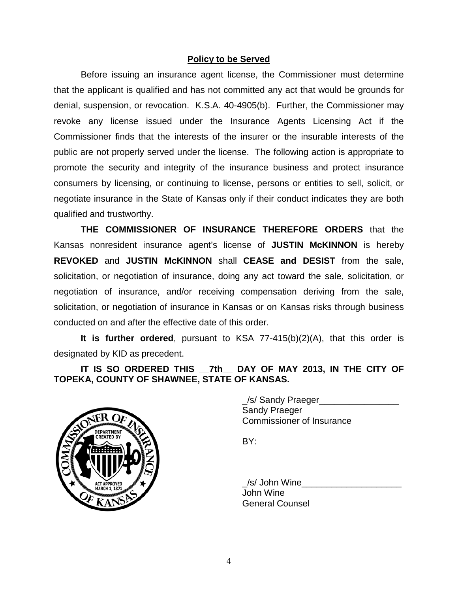# **Policy to be Served**

Before issuing an insurance agent license, the Commissioner must determine that the applicant is qualified and has not committed any act that would be grounds for denial, suspension, or revocation. K.S.A. 40-4905(b). Further, the Commissioner may revoke any license issued under the Insurance Agents Licensing Act if the Commissioner finds that the interests of the insurer or the insurable interests of the public are not properly served under the license. The following action is appropriate to promote the security and integrity of the insurance business and protect insurance consumers by licensing, or continuing to license, persons or entities to sell, solicit, or negotiate insurance in the State of Kansas only if their conduct indicates they are both qualified and trustworthy.

**THE COMMISSIONER OF INSURANCE THEREFORE ORDERS** that the Kansas nonresident insurance agent's license of **JUSTIN McKINNON** is hereby **REVOKED** and **JUSTIN McKINNON** shall **CEASE and DESIST** from the sale, solicitation, or negotiation of insurance, doing any act toward the sale, solicitation, or negotiation of insurance, and/or receiving compensation deriving from the sale, solicitation, or negotiation of insurance in Kansas or on Kansas risks through business conducted on and after the effective date of this order.

**It is further ordered**, pursuant to KSA 77-415(b)(2)(A), that this order is designated by KID as precedent.

**IT IS SO ORDERED THIS \_\_7th\_\_ DAY OF MAY 2013, IN THE CITY OF TOPEKA, COUNTY OF SHAWNEE, STATE OF KANSAS.**



/s/ Sandy Praeger Sandy Praeger Commissioner of Insurance

BY:

\_/s/ John Wine\_\_\_\_\_\_\_\_\_\_\_\_\_\_\_\_\_\_\_\_ John Wine General Counsel